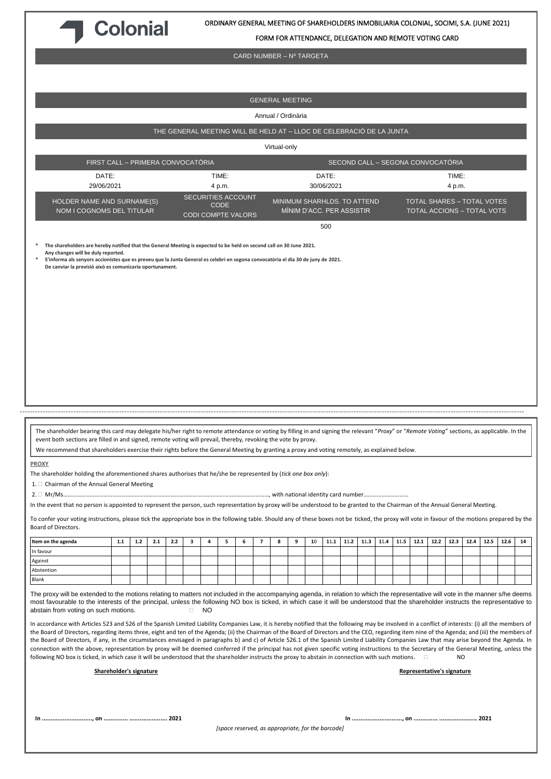

FORM FOR ATTENDANCE, DELEGATION AND REMOTE VOTING CARD

CARD NUMBER – Nº TARGETA

GENERAL MEETING Annual / Ordinària THE GENERAL MEETING WILL BE HELD AT – LLOC DE CELEBRACIÓ DE LA JUNTA Virtual-only FIRST CALL – PRIMERA CONVOCATÒRIA SECOND CALL – SEGONA CONVOCATÒRIA **DATE** 29/06/2021 TIME: 4 p.m. DATE: 30/06/2021 TIME: 4 p.m. HOLDER NAME AND SURNAME(S) NOM I COGNOMS DEL TITULAR SECURITIES ACCOUNT CODE CODI COMPTE VALORS MINIMUM SHARHLDS. TO ATTEND MÍNIM D'ACC. PER ASSISTIR TOTAL SHARES – TOTAL VOTES TOTAL ACCIONS – TOTAL VOTS 500 **\* The shareholders are hereby notified that the General Meeting is expected to be held on second call on 30 June 2021. Any changes will be duly reported. \* S'informa als senyors accionistes que es preveu que la Junta General es celebri en segona convocatòria el dia 30 de juny de 2021. De canviar la previsió això es comunicaria oportunament.** ------------------------------------------------------------------------------------------------------------------------------------------------------------------------------------------------------ The shareholder bearing this card may delegate his/her right to remote attendance or voting by filling in and signing the relevant "*Proxy*" or "*Remote Voting*" sections, as applicable. In the event both sections are filled in and signed, remote voting will prevail, thereby, revoking the vote by proxy. We recommend that shareholders exercise their rights before the General Meeting by granting a proxy and voting remotely, as explained below. **PROXY** The shareholder holding the aforementioned shares authorises that he/she be represented by (*tick one box only*): 1.  $\Box$  Chairman of the Annual General Meeting 2. Mr/Ms…………………………………………………………………………………………………………………………, with national identity card number………………………… In the event that no person is appointed to represent the person, such representation by proxy will be understood to be granted to the Chairman of the Annual General Meeting. To confer your voting instructions, please tick the appropriate box in the following table. Should any of these boxes not be ticked, the proxy will vote in favour of the motions prepared by the Board of Directors. Item on the agenda 1.1 | 1.2 | 2.1 | 2.2 | 3 | 4 | 5 | 6 | 7 | 8 | 9 | 10 | 11.1 | 11.2 | 11.3 | 11.4 | 11.5 | 12.1 | 12.2 | 12.1 | 12.2 | 12.4 | 12.5 | 12.6 | 14 In favour Against Abstention Blank The proxy will be extended to the motions relating to matters not included in the accompanying agenda, in relation to which the representative will vote in the manner s/he deems most favourable to the interests of the principal, unless the following NO box is ticked, in which case it will be understood that the shareholder instructs the representative to abstain from voting on such motions.  $\Box$  NO In accordance with Articles 523 and 526 of the Spanish Limited Liability Companies Law, it is hereby notified that the following may be involved in a conflict of interests: (i) all the members of the Board of Directors, regarding items three, eight and ten of the Agenda; (ii) the Chairman of the Board of Directors and the CEO, regarding item nine of the Agenda; and (iii) the members of the Board of Directors, if any, in the circumstances envisaged in paragraphs b) and c) of Article 526.1 of the Spanish Limited Liability Companies Law that may arise beyond the Agenda. In connection with the above, representation by proxy will be deemed conferred if the principal has not given specific voting instructions to the Secretary of the General Meeting, unless the following NO box is ticked, in which case it will be understood that the shareholder instructs the proxy to abstain in connection with such motions. **Shareholder's signature Representative's signature In ............................., on .............. ...................... 2021 In ............................., on .............. ...................... 2021**

*[space reserved, as appropriate, for the barcode]*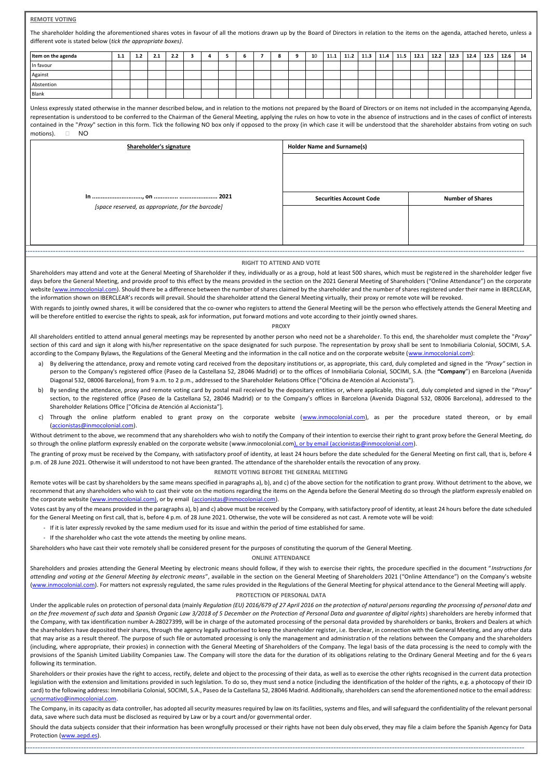# **REMOTE VOTING**

The shareholder holding the aforementioned shares votes in favour of all the motions drawn up by the Board of Directors in relation to the items on the agenda, attached hereto, unless a different vote is stated below (*tick the appropriate boxes)*.

| Item on the agenda | 1.1 | 1.2 | 2.1 | 2.2 |  | 6 | 8 | 10 | 11.1 | $11.2$ 11.3 |  |  |  | 11.4   11.5   12.1   12.2   12.3   12.4   12.5 | $12.6$ 14 |  |
|--------------------|-----|-----|-----|-----|--|---|---|----|------|-------------|--|--|--|------------------------------------------------|-----------|--|
| In favour          |     |     |     |     |  |   |   |    |      |             |  |  |  |                                                |           |  |
| Against            |     |     |     |     |  |   |   |    |      |             |  |  |  |                                                |           |  |
| Abstention         |     |     |     |     |  |   |   |    |      |             |  |  |  |                                                |           |  |
| Blank              |     |     |     |     |  |   |   |    |      |             |  |  |  |                                                |           |  |

Unless expressly stated otherwise in the manner described below, and in relation to the motions not prepared by the Board of Directors or on items not included in the accompanying Agenda, representation is understood to be conferred to the Chairman of the General Meeting, applying the rules on how to vote in the absence of instructions and in the cases of conflict of interests contained in the "Proxy" section in this form. Tick the following NO box only if opposed to the proxy (in which case it will be understood that the shareholder abstains from voting on such motions). NO

| Shareholder's signature                           | <b>Holder Name and Surname(s)</b> |                         |  |  |  |  |  |
|---------------------------------------------------|-----------------------------------|-------------------------|--|--|--|--|--|
|                                                   |                                   |                         |  |  |  |  |  |
|                                                   | <b>Securities Account Code</b>    | <b>Number of Shares</b> |  |  |  |  |  |
| [space reserved, as appropriate, for the barcode] |                                   |                         |  |  |  |  |  |
|                                                   |                                   |                         |  |  |  |  |  |
|                                                   |                                   |                         |  |  |  |  |  |

#### **RIGHT TO ATTEND AND VOTE**

-------------------------------------------------------------------------------------------------------------------------------------------------------------------------------------------------------

Shareholders may attend and vote at the General Meeting of Shareholder if they, individually or as a group, hold at least 500 shares, which must be registered in the shareholder ledger five days before the General Meeting, and provide proof to this effect by the means provided in the section on the 2021 General Meeting of Shareholders ("Online Attendance") on the corporate website [\(www.inmocolonial.com\)](http://www.inmocolonial.com/). Should there be a difference between the number of shares claimed by the shareholder and the number of shares registered under their name in IBERCLEAR, the information shown on IBERCLEAR's records will prevail. Should the shareholder attend the General Meeting virtually, their proxy or remote vote will be revoked.

With regards to jointly owned shares, it will be considered that the co-owner who registers to attend the General Meeting will be the person who effectively attends the General Meeting and will be therefore entitled to exercise the rights to speak, ask for information, put forward motions and vote according to their jointly owned shares.

#### **PROXY**

All shareholders entitled to attend annual general meetings may be represented by another person who need not be a shareholder. To this end, the shareholder must complete the "*Proxy*" section of this card and sign it along with his/her representative on the space designated for such purpose. The representation by proxy shall be sent to Inmobiliaria Colonial, SOCIMI, S.A. according to the Company Bylaws, the Regulations of the General Meeting and the information in the call notice and on the corporate website [\(www.inmocolonial.com\)](http://www.inmocolonial.com/):

- a) By delivering the attendance, proxy and remote voting card received from the depositary institutions or, as appropriate, this card, duly completed and signed in the *"Proxy"* section in person to the Company's registered office (Paseo de la Castellana 52, 28046 Madrid) or to the offices of Inmobiliaria Colonial, SOCIMI, S.A. (the **"Company**") en Barcelona (Avenida Diagonal 532, 08006 Barcelona), from 9 a.m. to 2 p.m., addressed to the Shareholder Relations Office ("Oficina de Atención al Accionista").
- b) By sending the attendance, proxy and remote voting card by postal mail received by the depositary entities or, where applicable, this card, duly completed and signed in the "*Proxy*" section, to the registered office (Paseo de la Castellana 52, 28046 Madrid) or to the Company's offices in Barcelona (Avenida Diagonal 532, 08006 Barcelona), addressed to the Shareholder Relations Office ["Oficina de Atención al Accionista"].
- c) Through the online platform enabled to grant proxy on the corporate website [\(www.inmocolonial.com\),](http://www.inmocolonial.com/) as per the procedure stated thereon, or by email [\(accionistas@inmocolonial.com\).](mailto:accionistas@inmocolonial.com)

Without detriment to the above, we recommend that any shareholders who wish to notify the Company of their intention to exercise their right to grant proxy before the General Meeting, do so through the online platform expressly enabled on the corporate website (www.inmocolonial.co[m\), or by email \(accionistas@inmocolonial.com\)](mailto:accionistas@inmocolonial.com).

The granting of proxy must be received by the Company, with satisfactory proof of identity, at least 24 hours before the date scheduled for the General Meeting on first call, that is, before 4 p.m. of 28 June 2021. Otherwise it will understood to not have been granted. The attendance of the shareholder entails the revocation of any proxy.

### **REMOTE VOTING BEFORE THE GENERAL MEETING**

Remote votes will be cast by shareholders by the same means specified in paragraphs a), b), and c) of the above section for the notification to grant proxy. Without detriment to the above, we recommend that any shareholders who wish to cast their vote on the motions regarding the items on the Agenda before the General Meeting do so through the platform expressly enabled on the corporate website [\(www.inmocolonial.com\),](mailto:accionistas@inmocolonial.com) or by email [\(accionistas@inmocolonial.com\).](mailto:accionistas@inmocolonial.com)

Votes cast by any of the means provided in the paragraphs a), b) and c) above must be received by the Company, with satisfactory proof of identity, at least 24 hours before the date scheduled for the General Meeting on first call, that is, before 4 p.m. of 28 June 2021. Otherwise, the vote will be considered as not cast. A remote vote will be void:

- If it is later expressly revoked by the same medium used for its issue and within the period of time established for same.
- If the shareholder who cast the vote attends the meeting by online means.

Shareholders who have cast their vote remotely shall be considered present for the purposes of constituting the quorum of the General Meeting.

## **ONLINE ATTENDANCE**

Shareholders and proxies attending the General Meeting by electronic means should follow, if they wish to exercise their rights, the procedure specified in the document "*Instructions for attending and voting at the General Meeting by electronic means*", available in the section on the General Meeting of Shareholders 2021 ("Online Attendance") on the Company's website [\(www.inmocolonial.com\).](http://www.inmocolonial.com/) For matters not expressly regulated, the same rules provided in the Regulations of the General Meeting for physical attendance to the General Meeting will apply.

# **PROTECTION OF PERSONAL DATA**

Under the applicable rules on protection of personal data (mainly *Regulation (EU) 2016/679 of 27 April 2016 on the protection of natural persons regarding the processing of personal data and on the free movement of such data* and *Spanish Organic Law 3/2018 of 5 December on the Protection of Personal Data and guarantee of digital rights*) shareholders are hereby informed that the Company, with tax identification number A-28027399, will be in charge of the automated processing of the personal data provided by shareholders or banks, Brokers and Dealers at which the shareholders have deposited their shares, through the agency legally authorised to keep the shareholder register, i.e. Iberclear, in connection with the General Meeting, and any other data that may arise as a result thereof. The purpose of such file or automated processing is only the management and administration of the relations between the Company and the shareholders (including, where appropriate, their proxies) in connection with the General Meeting of Shareholders of the Company. The legal basis of the data processing is the need to comply with the provisions of the Spanish Limited Liability Companies Law. The Company will store the data for the duration of its obligations relating to the Ordinary General Meeting and for the 6 years following its termination.

Shareholders or their proxies have the right to access, rectify, delete and object to the processing of their data, as well as to exercise the other rights recognised in the current data protection legislation with the extension and limitations provided in such legislation. To do so, they must send a notice (including the identification of the holder of the rights, e.g. a photocopy of their ID card) to the following address: Inmobiliaria Colonial, SOCIMI, S.A., Paseo de la Castellana 52, 28046 Madrid. Additionally, shareholders can send the aforementioned notice to the email address: [ucnormativo@inmocolonial.com.](mailto:ucnormativo@inmocolonial.com)

The Company, in its capacity as data controller, has adopted all security measures required by law on its facilities, systems and files, and will safeguard the confidentiality of the relevant personal data, save where such data must be disclosed as required by Law or by a court and/or governmental order.

Should the data subjects consider that their information has been wrongfully processed or their rights have not been duly observed, they may file a claim before the Spanish Agency for Data Protection [\(www.aepd.es\).](http://www.aepd.es/)

-------------------------------------------------------------------------------------------------------------------------------------------------------------------------------------------------------